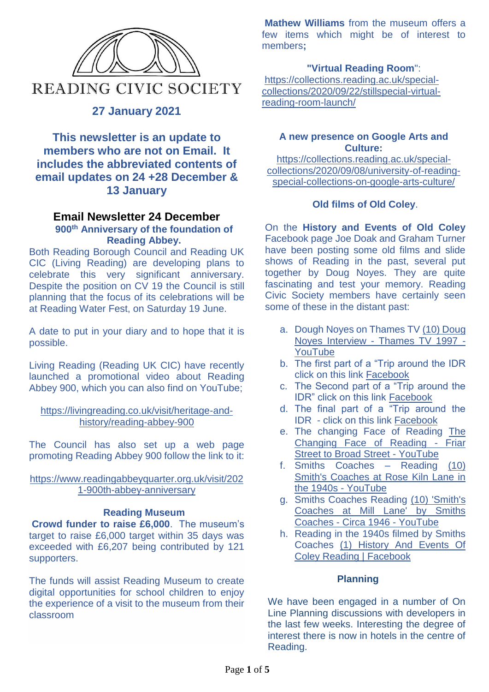

# **27 January 2021**

**This newsletter is an update to members who are not on Email. It includes the abbreviated contents of email updates on 24 +28 December & 13 January**

#### **Email Newsletter 24 December 900th Anniversary of the foundation of Reading Abbey.**

Both Reading Borough Council and Reading UK CIC (Living Reading) are developing plans to celebrate this very significant anniversary. Despite the position on CV 19 the Council is still planning that the focus of its celebrations will be at Reading Water Fest, on Saturday 19 June.

A date to put in your diary and to hope that it is possible.

Living Reading (Reading UK CIC) have recently launched a promotional video about Reading Abbey 900, which you can also find on YouTube;

### [https://livingreading.co.uk/visit/heritage-and](https://nam12.safelinks.protection.outlook.com/?url=https%3A%2F%2Flivingreading.co.uk%2Fvisit%2Fheritage-and-history%2Freading-abbey-900&data=04%7C01%7C%7C7f4bce0be8b442db0b0e08d895520cf2%7C84df9e7fe9f640afb435aaaaaaaaaaaa%7C1%7C0%7C637423526917767976%7CUnknown%7CTWFpbGZsb3d8eyJWIjoiMC4wLjAwMDAiLCJQIjoiV2luMzIiLCJBTiI6Ik1haWwiLCJXVCI6Mn0%3D%7C1000&sdata=ZDDZvQYHVIpyR4zAhQvpyMvtHjyN%2BsWIWIdpxUt53Ew%3D&reserved=0)[history/reading-abbey-900](https://nam12.safelinks.protection.outlook.com/?url=https%3A%2F%2Flivingreading.co.uk%2Fvisit%2Fheritage-and-history%2Freading-abbey-900&data=04%7C01%7C%7C7f4bce0be8b442db0b0e08d895520cf2%7C84df9e7fe9f640afb435aaaaaaaaaaaa%7C1%7C0%7C637423526917767976%7CUnknown%7CTWFpbGZsb3d8eyJWIjoiMC4wLjAwMDAiLCJQIjoiV2luMzIiLCJBTiI6Ik1haWwiLCJXVCI6Mn0%3D%7C1000&sdata=ZDDZvQYHVIpyR4zAhQvpyMvtHjyN%2BsWIWIdpxUt53Ew%3D&reserved=0)

The Council has also set up a web page promoting Reading Abbey 900 follow the link to it:

#### [https://www.readingabbeyquarter.org.uk/visit/202](https://nam12.safelinks.protection.outlook.com/?url=https%3A%2F%2Fwww.readingabbeyquarter.org.uk%2Fvisit%2F2021-900th-abbey-anniversary&data=04%7C01%7C%7C7f4bce0be8b442db0b0e08d895520cf2%7C84df9e7fe9f640afb435aaaaaaaaaaaa%7C1%7C0%7C637423526917777973%7CUnknown%7CTWFpbGZsb3d8eyJWIjoiMC4wLjAwMDAiLCJQIjoiV2luMzIiLCJBTiI6Ik1haWwiLCJXVCI6Mn0%3D%7C1000&sdata=%2BDPoKBJ2jB7Ns8twdDZUKi5KJuFZ3WEjqIhyeQ2z74M%3D&reserved=0) [1-900th-abbey-anniversary](https://nam12.safelinks.protection.outlook.com/?url=https%3A%2F%2Fwww.readingabbeyquarter.org.uk%2Fvisit%2F2021-900th-abbey-anniversary&data=04%7C01%7C%7C7f4bce0be8b442db0b0e08d895520cf2%7C84df9e7fe9f640afb435aaaaaaaaaaaa%7C1%7C0%7C637423526917777973%7CUnknown%7CTWFpbGZsb3d8eyJWIjoiMC4wLjAwMDAiLCJQIjoiV2luMzIiLCJBTiI6Ik1haWwiLCJXVCI6Mn0%3D%7C1000&sdata=%2BDPoKBJ2jB7Ns8twdDZUKi5KJuFZ3WEjqIhyeQ2z74M%3D&reserved=0)

### **Reading Museum**

**Crowd funder to raise £6,000**. The museum's target to raise £6,000 target within 35 days was exceeded with £6,207 being contributed by 121 supporters.

The funds will assist Reading Museum to create digital opportunities for school children to enjoy the experience of a visit to the museum from their classroom

**Mathew Williams** from the museum offers a few items which might be of interest to members**;**

### **"Virtual Reading Room**":

[https://collections.reading.ac.uk/special](https://nam12.safelinks.protection.outlook.com/?url=https%3A%2F%2Fcollections.reading.ac.uk%2Fspecial-collections%2F2020%2F09%2F22%2Fstillspecial-virtual-reading-room-launch%2F&data=04%7C01%7C%7C24b8b9b6dc87465d3b4408d87b1ded52%7C84df9e7fe9f640afb435aaaaaaaaaaaa%7C1%7C0%7C637394715753535451%7CUnknown%7CTWFpbGZsb3d8eyJWIjoiMC4wLjAwMDAiLCJQIjoiV2luMzIiLCJBTiI6Ik1haWwiLCJXVCI6Mn0%3D%7C1000&sdata=UtU%2BoTTmATueAiY880RLvjqZC5zMFHHBLf6HM2OLlhE%3D&reserved=0)[collections/2020/09/22/stillspecial-virtual](https://nam12.safelinks.protection.outlook.com/?url=https%3A%2F%2Fcollections.reading.ac.uk%2Fspecial-collections%2F2020%2F09%2F22%2Fstillspecial-virtual-reading-room-launch%2F&data=04%7C01%7C%7C24b8b9b6dc87465d3b4408d87b1ded52%7C84df9e7fe9f640afb435aaaaaaaaaaaa%7C1%7C0%7C637394715753535451%7CUnknown%7CTWFpbGZsb3d8eyJWIjoiMC4wLjAwMDAiLCJQIjoiV2luMzIiLCJBTiI6Ik1haWwiLCJXVCI6Mn0%3D%7C1000&sdata=UtU%2BoTTmATueAiY880RLvjqZC5zMFHHBLf6HM2OLlhE%3D&reserved=0)[reading-room-launch/](https://nam12.safelinks.protection.outlook.com/?url=https%3A%2F%2Fcollections.reading.ac.uk%2Fspecial-collections%2F2020%2F09%2F22%2Fstillspecial-virtual-reading-room-launch%2F&data=04%7C01%7C%7C24b8b9b6dc87465d3b4408d87b1ded52%7C84df9e7fe9f640afb435aaaaaaaaaaaa%7C1%7C0%7C637394715753535451%7CUnknown%7CTWFpbGZsb3d8eyJWIjoiMC4wLjAwMDAiLCJQIjoiV2luMzIiLCJBTiI6Ik1haWwiLCJXVCI6Mn0%3D%7C1000&sdata=UtU%2BoTTmATueAiY880RLvjqZC5zMFHHBLf6HM2OLlhE%3D&reserved=0)

### **A new presence on Google Arts and Culture:**

[https://collections.reading.ac.uk/special](https://nam12.safelinks.protection.outlook.com/?url=https%3A%2F%2Fcollections.reading.ac.uk%2Fspecial-collections%2F2020%2F09%2F08%2Funiversity-of-reading-special-collections-on-google-arts-culture%2F&data=04%7C01%7C%7C24b8b9b6dc87465d3b4408d87b1ded52%7C84df9e7fe9f640afb435aaaaaaaaaaaa%7C1%7C0%7C637394715753545443%7CUnknown%7CTWFpbGZsb3d8eyJWIjoiMC4wLjAwMDAiLCJQIjoiV2luMzIiLCJBTiI6Ik1haWwiLCJXVCI6Mn0%3D%7C1000&sdata=Ibsb3G8Sc3OY%2BIaXHWwG3b6mMqipKjMiAfbIZzkqVaM%3D&reserved=0)[collections/2020/09/08/university-of-reading](https://nam12.safelinks.protection.outlook.com/?url=https%3A%2F%2Fcollections.reading.ac.uk%2Fspecial-collections%2F2020%2F09%2F08%2Funiversity-of-reading-special-collections-on-google-arts-culture%2F&data=04%7C01%7C%7C24b8b9b6dc87465d3b4408d87b1ded52%7C84df9e7fe9f640afb435aaaaaaaaaaaa%7C1%7C0%7C637394715753545443%7CUnknown%7CTWFpbGZsb3d8eyJWIjoiMC4wLjAwMDAiLCJQIjoiV2luMzIiLCJBTiI6Ik1haWwiLCJXVCI6Mn0%3D%7C1000&sdata=Ibsb3G8Sc3OY%2BIaXHWwG3b6mMqipKjMiAfbIZzkqVaM%3D&reserved=0)[special-collections-on-google-arts-culture/](https://nam12.safelinks.protection.outlook.com/?url=https%3A%2F%2Fcollections.reading.ac.uk%2Fspecial-collections%2F2020%2F09%2F08%2Funiversity-of-reading-special-collections-on-google-arts-culture%2F&data=04%7C01%7C%7C24b8b9b6dc87465d3b4408d87b1ded52%7C84df9e7fe9f640afb435aaaaaaaaaaaa%7C1%7C0%7C637394715753545443%7CUnknown%7CTWFpbGZsb3d8eyJWIjoiMC4wLjAwMDAiLCJQIjoiV2luMzIiLCJBTiI6Ik1haWwiLCJXVCI6Mn0%3D%7C1000&sdata=Ibsb3G8Sc3OY%2BIaXHWwG3b6mMqipKjMiAfbIZzkqVaM%3D&reserved=0)

### **Old films of Old Coley**.

On the **History and Events of Old Coley** Facebook page Joe Doak and Graham Turner have been posting some old films and slide shows of Reading in the past, several put together by Doug Noyes. They are quite fascinating and test your memory. Reading Civic Society members have certainly seen some of these in the distant past:

- a. Dough Noyes on Thames TV [\(10\) Doug](https://www.youtube.com/watch?fbclid=IwAR27t6ZlUHYVjWQECLlsUBBeUx6RuvC5u41sIJKaGcB5ynuE1wlMFvHyrMM&v=ntoaSjAwgDw&feature=youtu.be)  Noyes Interview - [Thames TV 1997 -](https://www.youtube.com/watch?fbclid=IwAR27t6ZlUHYVjWQECLlsUBBeUx6RuvC5u41sIJKaGcB5ynuE1wlMFvHyrMM&v=ntoaSjAwgDw&feature=youtu.be) [YouTube](https://www.youtube.com/watch?fbclid=IwAR27t6ZlUHYVjWQECLlsUBBeUx6RuvC5u41sIJKaGcB5ynuE1wlMFvHyrMM&v=ntoaSjAwgDw&feature=youtu.be)
- b. The first part of a "Trip around the IDR click on this link [Facebook](https://www.facebook.com/graham.turner.547/videos/3846579268708329)
- c. The Second part of a "Trip around the IDR" click on this link [Facebook](https://www.facebook.com/graham.turner.547/videos/3853157491383840)
- d. The final part of a "Trip around the IDR - click on this link [Facebook](https://www.facebook.com/graham.turner.547/videos/3854008727965383)
- e. The changing Face of Reading [The](https://www.youtube.com/watch?fbclid=IwAR27t6ZlUHYVjWQECLlsUBBeUx6RuvC5u41sIJKaGcB5ynuE1wlMFvHyrMM&v=iCT553U8tl4&feature=youtu.be)  [Changing Face of Reading -](https://www.youtube.com/watch?fbclid=IwAR27t6ZlUHYVjWQECLlsUBBeUx6RuvC5u41sIJKaGcB5ynuE1wlMFvHyrMM&v=iCT553U8tl4&feature=youtu.be) Friar [Street to Broad Street -](https://www.youtube.com/watch?fbclid=IwAR27t6ZlUHYVjWQECLlsUBBeUx6RuvC5u41sIJKaGcB5ynuE1wlMFvHyrMM&v=iCT553U8tl4&feature=youtu.be) YouTube
- f. Smiths Coaches Reading [\(10\)](https://www.youtube.com/watch?fbclid=IwAR1QYJ27k2sZ6ww4tqWL8FxfWahK1mDjxMuy-mWD0feA4DuSoNlqH7oQfQI&v=f6ishBsvW6I&feature=youtu.be)  [Smith's Coaches at Rose Kiln Lane in](https://www.youtube.com/watch?fbclid=IwAR1QYJ27k2sZ6ww4tqWL8FxfWahK1mDjxMuy-mWD0feA4DuSoNlqH7oQfQI&v=f6ishBsvW6I&feature=youtu.be)  [the 1940s -](https://www.youtube.com/watch?fbclid=IwAR1QYJ27k2sZ6ww4tqWL8FxfWahK1mDjxMuy-mWD0feA4DuSoNlqH7oQfQI&v=f6ishBsvW6I&feature=youtu.be) YouTube
- g. Smiths Coaches Reading [\(10\) 'Smith's](https://www.youtube.com/watch?fbclid=IwAR3OlgLmL_vDRIm8PoZ7sDwFqEdjK7h2QKtFglect8GlQSsgCVhIZnpczMQ&v=YgZUtfGb_ek&feature=youtu.be)  [Coaches at Mill Lane' by Smiths](https://www.youtube.com/watch?fbclid=IwAR3OlgLmL_vDRIm8PoZ7sDwFqEdjK7h2QKtFglect8GlQSsgCVhIZnpczMQ&v=YgZUtfGb_ek&feature=youtu.be)  Coaches - [Circa 1946 -](https://www.youtube.com/watch?fbclid=IwAR3OlgLmL_vDRIm8PoZ7sDwFqEdjK7h2QKtFglect8GlQSsgCVhIZnpczMQ&v=YgZUtfGb_ek&feature=youtu.be) YouTube
- h. Reading in the 1940s filmed by Smiths Coaches [\(1\) History And Events Of](https://www.facebook.com/groups/1700685410252022/permalink/2763400233980529/)  [Coley Reading | Facebook](https://www.facebook.com/groups/1700685410252022/permalink/2763400233980529/)

### **Planning**

We have been engaged in a number of On Line Planning discussions with developers in the last few weeks. Interesting the degree of interest there is now in hotels in the centre of Reading.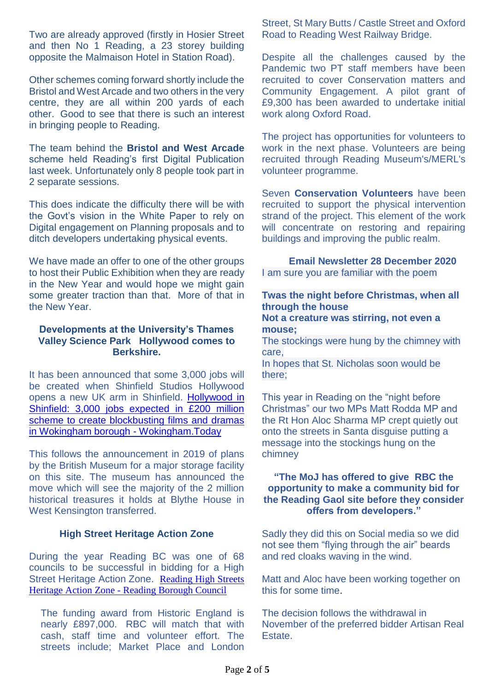Two are already approved (firstly in Hosier Street and then No 1 Reading, a 23 storey building opposite the Malmaison Hotel in Station Road).

Other schemes coming forward shortly include the Bristol and West Arcade and two others in the very centre, they are all within 200 yards of each other. Good to see that there is such an interest in bringing people to Reading.

The team behind the **Bristol and West Arcade** scheme held Reading's first Digital Publication last week. Unfortunately only 8 people took part in 2 separate sessions.

This does indicate the difficulty there will be with the Govt's vision in the White Paper to rely on Digital engagement on Planning proposals and to ditch developers undertaking physical events.

We have made an offer to one of the other groups to host their Public Exhibition when they are ready in the New Year and would hope we might gain some greater traction than that. More of that in the New Year.

#### **Developments at the University's Thames Valley Science Park Hollywood comes to Berkshire.**

It has been announced that some 3,000 jobs will be created when Shinfield Studios Hollywood opens a new UK arm in Shinfield. [Hollywood in](https://www.wokingham.today/hollywood-in-shinfield-3000-jobs-expected-in-200-million-scheme-to-create-blockbusting-films-and-dramas-in-wokingham-borough/)  Shinfield: 3,000 jobs expected in £200 million scheme to create blockbusting films and dramas [in Wokingham borough -](https://www.wokingham.today/hollywood-in-shinfield-3000-jobs-expected-in-200-million-scheme-to-create-blockbusting-films-and-dramas-in-wokingham-borough/) Wokingham.Today

This follows the announcement in 2019 of plans by the British Museum for a major storage facility on this site. The museum has announced the move which will see the majority of the 2 million historical treasures it holds at Blythe House in West Kensington transferred.

### **High Street Heritage Action Zone**

During the year Reading BC was one of 68 councils to be successful in bidding for a High Street Heritage Action Zone. [Reading High Streets](https://www.reading.gov.uk/planning/reading-high-streets-heritage-action-zone/)  Heritage Action Zone - [Reading Borough Council](https://www.reading.gov.uk/planning/reading-high-streets-heritage-action-zone/)

The funding award from Historic England is nearly £897,000. RBC will match that with cash, staff time and volunteer effort. The streets include; Market Place and London

Street, St Mary Butts / Castle Street and Oxford Road to Reading West Railway Bridge.

Despite all the challenges caused by the Pandemic two PT staff members have been recruited to cover Conservation matters and Community Engagement. A pilot grant of £9,300 has been awarded to undertake initial work along Oxford Road.

The project has opportunities for volunteers to work in the next phase. Volunteers are being recruited through Reading Museum's/MERL's volunteer programme.

Seven **Conservation Volunteers** have been recruited to support the physical intervention strand of the project. This element of the work will concentrate on restoring and repairing buildings and improving the public realm.

**Email Newsletter 28 December 2020** I am sure you are familiar with the poem

## **Twas the night before Christmas, when all through the house**

#### **Not a creature was stirring, not even a mouse;**

The stockings were hung by the chimney with care,

In hopes that St. Nicholas soon would be there;

This year in Reading on the "night before Christmas" our two MPs Matt Rodda MP and the Rt Hon Aloc Sharma MP crept quietly out onto the streets in Santa disguise putting a message into the stockings hung on the chimney

### **"The MoJ has offered to give RBC the opportunity to make a community bid for the Reading Gaol site before they consider offers from developers."**

Sadly they did this on Social media so we did not see them "flying through the air" beards and red cloaks waving in the wind.

Matt and Aloc have been working together on this for some time.

The decision follows the withdrawal in November of the preferred bidder Artisan Real Estate.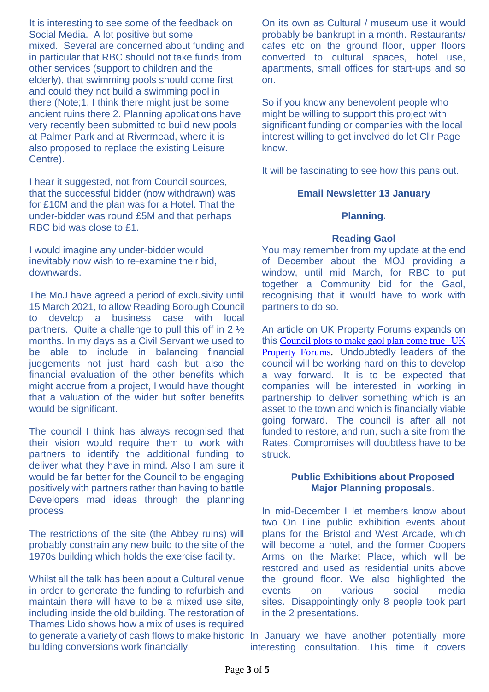It is interesting to see some of the feedback on Social Media. A lot positive but some mixed. Several are concerned about funding and in particular that RBC should not take funds from other services (support to children and the elderly), that swimming pools should come first and could they not build a swimming pool in there (Note;1. I think there might just be some ancient ruins there 2. Planning applications have very recently been submitted to build new pools at Palmer Park and at Rivermead, where it is also proposed to replace the existing Leisure Centre).

I hear it suggested, not from Council sources, that the successful bidder (now withdrawn) was for £10M and the plan was for a Hotel. That the under-bidder was round £5M and that perhaps RBC bid was close to £1.

I would imagine any under-bidder would inevitably now wish to re-examine their bid, downwards.

The MoJ have agreed a period of exclusivity until 15 March 2021, to allow Reading Borough Council to develop a business case with local partners. Quite a challenge to pull this off in 2 ½ months. In my days as a Civil Servant we used to be able to include in balancing financial judgements not just hard cash but also the financial evaluation of the other benefits which might accrue from a project, I would have thought that a valuation of the wider but softer benefits would be significant.

The council I think has always recognised that their vision would require them to work with partners to identify the additional funding to deliver what they have in mind. Also I am sure it would be far better for the Council to be engaging positively with partners rather than having to battle Developers mad ideas through the planning process.

The restrictions of the site (the Abbey ruins) will probably constrain any new build to the site of the 1970s building which holds the exercise facility.

Whilst all the talk has been about a Cultural venue in order to generate the funding to refurbish and maintain there will have to be a mixed use site, including inside the old building. The restoration of Thames Lido shows how a mix of uses is required building conversions work financially.

On its own as Cultural / museum use it would probably be bankrupt in a month. Restaurants/ cafes etc on the ground floor, upper floors converted to cultural spaces, hotel use, apartments, small offices for start-ups and so on.

So if you know any benevolent people who might be willing to support this project with significant funding or companies with the local interest willing to get involved do let Cllr Page know.

It will be fascinating to see how this pans out.

### **Email Newsletter 13 January**

#### **Planning.**

#### **Reading Gaol**

You may remember from my update at the end of December about the MOJ providing a window, until mid March, for RBC to put together a Community bid for the Gaol, recognising that it would have to work with partners to do so.

An article on UK Property Forums expands on this [Council plots to make gaol plan come true | UK](https://ukpropertyforums.com/council-plots-to-make-gaol-plan-come-true/?fbclid=IwAR07kAGOY0B1Uo6pl-silTYP1GYSyl636YzfkGeD_pPx_TODG8mtp6eJPlg)  [Property Forums.](https://ukpropertyforums.com/council-plots-to-make-gaol-plan-come-true/?fbclid=IwAR07kAGOY0B1Uo6pl-silTYP1GYSyl636YzfkGeD_pPx_TODG8mtp6eJPlg) Undoubtedly leaders of the council will be working hard on this to develop a way forward. It is to be expected that companies will be interested in working in partnership to deliver something which is an asset to the town and which is financially viable going forward. The council is after all not funded to restore, and run, such a site from the Rates. Compromises will doubtless have to be struck.

#### **Public Exhibitions about Proposed Major Planning proposals**.

In mid-December I let members know about two On Line public exhibition events about plans for the Bristol and West Arcade, which will become a hotel, and the former Coopers Arms on the Market Place, which will be restored and used as residential units above the ground floor. We also highlighted the events on various social media sites. Disappointingly only 8 people took part in the 2 presentations.

to generate a variety of cash flows to make historic In January we have another potentially more interesting consultation. This time it covers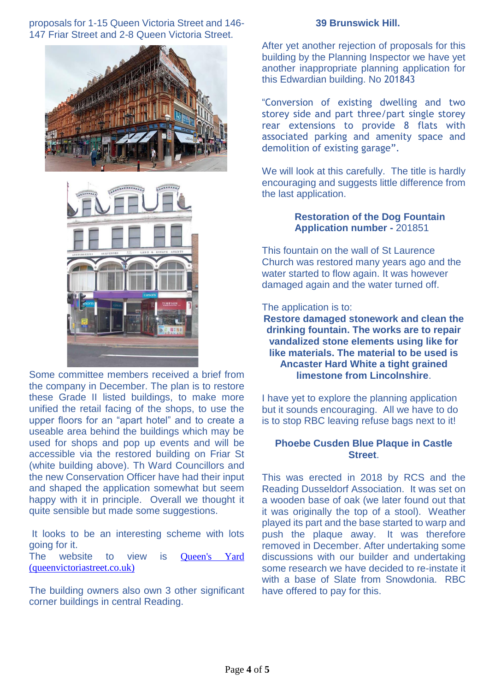proposals for 1-15 Queen Victoria Street and 146- 147 Friar Street and 2-8 Queen Victoria Street.





Some committee members received a brief from the company in December. The plan is to restore these Grade II listed buildings, to make more unified the retail facing of the shops, to use the upper floors for an "apart hotel" and to create a useable area behind the buildings which may be used for shops and pop up events and will be accessible via the restored building on Friar St (white building above). Th Ward Councillors and the new Conservation Officer have had their input and shaped the application somewhat but seem happy with it in principle. Overall we thought it quite sensible but made some suggestions.

It looks to be an interesting scheme with lots going for it. The website to view is Oueen's Yard [\(queenvictoriastreet.co.uk\)](https://queenvictoriastreet.co.uk/)

The building owners also own 3 other significant corner buildings in central Reading.

#### **39 Brunswick Hill.**

After yet another rejection of proposals for this building by the Planning Inspector we have yet another inappropriate planning application for this Edwardian building. No 201843

"Conversion of existing dwelling and two storey side and part three/part single storey rear extensions to provide 8 flats with associated parking and amenity space and demolition of existing garage".

We will look at this carefully. The title is hardly encouraging and suggests little difference from the last application.

### **Restoration of the Dog Fountain Application number -** 201851

This fountain on the wall of St Laurence Church was restored many years ago and the water started to flow again. It was however damaged again and the water turned off.

The application is to:

**Restore damaged stonework and clean the drinking fountain. The works are to repair vandalized stone elements using like for like materials. The material to be used is Ancaster Hard White a tight grained limestone from Lincolnshire**.

I have yet to explore the planning application but it sounds encouraging. All we have to do is to stop RBC leaving refuse bags next to it!

### **Phoebe Cusden Blue Plaque in Castle Street**.

This was erected in 2018 by RCS and the Reading Dusseldorf Association. It was set on a wooden base of oak (we later found out that it was originally the top of a stool). Weather played its part and the base started to warp and push the plaque away. It was therefore removed in December. After undertaking some discussions with our builder and undertaking some research we have decided to re-instate it with a base of Slate from Snowdonia. RBC have offered to pay for this.